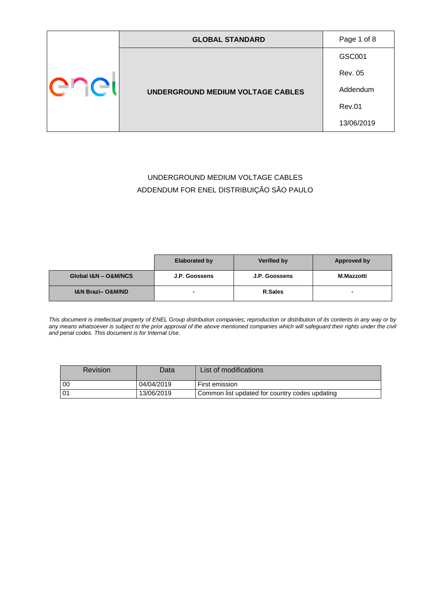|      | <b>GLOBAL STANDARD</b>            | Page 1 of 8    |
|------|-----------------------------------|----------------|
| ener |                                   | GSC001         |
|      | UNDERGROUND MEDIUM VOLTAGE CABLES | <b>Rev. 05</b> |
|      |                                   | Addendum       |
|      |                                   | <b>Rev.01</b>  |
|      |                                   | 13/06/2019     |

### UNDERGROUND MEDIUM VOLTAGE CABLES ADDENDUM FOR ENEL DISTRIBUIÇÃO SÃO PAULO

|                                 | <b>Elaborated by</b> | <b>Verified by</b> | Approved by |
|---------------------------------|----------------------|--------------------|-------------|
| Global I&N - O&M/NCS            | J.P. Goossens        | J.P. Goossens      | M.Mazzotti  |
| <b>I&amp;N Brazi-O&amp;M/ND</b> |                      | <b>R.Sales</b>     |             |

*This document is intellectual property of ENEL Group distribution companies; reproduction or distribution of its contents in any way or by*  any means whatsoever is subject to the prior approval of the above mentioned companies which will safeguard their rights under the civil *and penal codes. This document is for Internal Use.*

| <b>Revision</b> | Datal      | List of modifications                          |
|-----------------|------------|------------------------------------------------|
| l 00            | 04/04/2019 | First emission                                 |
| l 01            | 13/06/2019 | Common list updated for country codes updating |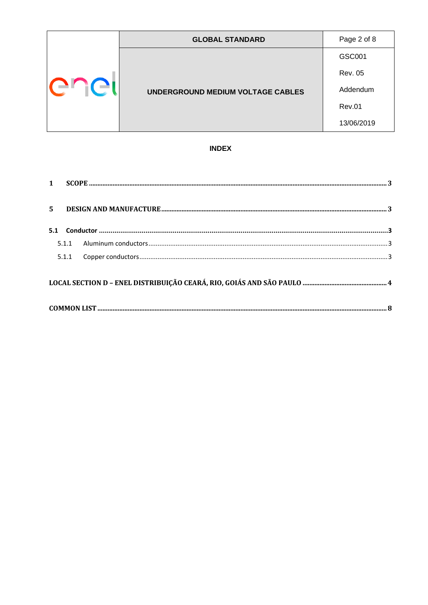|        | <b>GLOBAL STANDARD</b>            | Page 2 of 8    |
|--------|-----------------------------------|----------------|
| er ici |                                   | GSC001         |
|        | UNDERGROUND MEDIUM VOLTAGE CABLES | <b>Rev. 05</b> |
|        |                                   | Addendum       |
|        |                                   | <b>Rev.01</b>  |
|        |                                   | 13/06/2019     |

### **INDEX**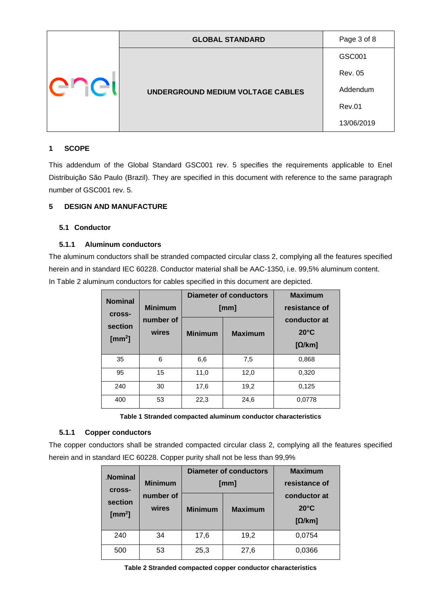|      | <b>GLOBAL STANDARD</b>                   | Page 3 of 8    |
|------|------------------------------------------|----------------|
| ener |                                          | GSC001         |
|      | <b>UNDERGROUND MEDIUM VOLTAGE CABLES</b> | <b>Rev. 05</b> |
|      |                                          | Addendum       |
|      |                                          | <b>Rev.01</b>  |
|      |                                          | 13/06/2019     |

#### <span id="page-2-0"></span>**1 SCOPE**

This addendum of the Global Standard GSC001 rev. 5 specifies the requirements applicable to Enel Distribuição São Paulo (Brazil). They are specified in this document with reference to the same paragraph number of GSC001 rev. 5.

### <span id="page-2-2"></span><span id="page-2-1"></span>**5 DESIGN AND MANUFACTURE**

#### **5.1 Conductor**

#### <span id="page-2-3"></span>**5.1.1 Aluminum conductors**

The aluminum conductors shall be stranded compacted circular class 2, complying all the features specified herein and in standard IEC 60228. Conductor material shall be AAC-1350, i.e. 99,5% aluminum content. In Table 2 aluminum conductors for cables specified in this document are depicted.

| <b>Nominal</b><br><b>Cross-</b> | <b>Minimum</b>     | <b>Diameter of conductors</b><br>[mm] |                | <b>Maximum</b><br>resistance of                 |
|---------------------------------|--------------------|---------------------------------------|----------------|-------------------------------------------------|
| section<br>[ $mm2$ ]            | number of<br>wires | <b>Minimum</b>                        | <b>Maximum</b> | conductor at<br>$20^{\circ}$ C<br>$[\Omega/km]$ |
| 35                              | 6                  | 6,6                                   | 7,5            | 0,868                                           |
| 95                              | 15                 | 11,0                                  | 12,0           | 0,320                                           |
| 240                             | 30                 | 17,6                                  | 19,2           | 0,125                                           |
| 400                             | 53                 | 22,3                                  | 24,6           | 0,0778                                          |

**Table 1 Stranded compacted aluminum conductor characteristics**

### <span id="page-2-4"></span>**5.1.1 Copper conductors**

The copper conductors shall be stranded compacted circular class 2, complying all the features specified herein and in standard IEC 60228. Copper purity shall not be less than 99,9%

| <b>Nominal</b><br><b>Cross-</b>   | <b>Minimum</b>     |                | Diameter of conductors<br>[mm] | <b>Maximum</b><br>resistance of                 |
|-----------------------------------|--------------------|----------------|--------------------------------|-------------------------------------------------|
| section<br>$\text{[mm}^2\text{]}$ | number of<br>wires | <b>Minimum</b> | <b>Maximum</b>                 | conductor at<br>$20^{\circ}$ C<br>$[\Omega/km]$ |
| 240                               | 34                 | 17,6           | 19,2                           | 0,0754                                          |
| 500                               | 53                 | 25,3           | 27,6                           | 0,0366                                          |

**Table 2 Stranded compacted copper conductor characteristics**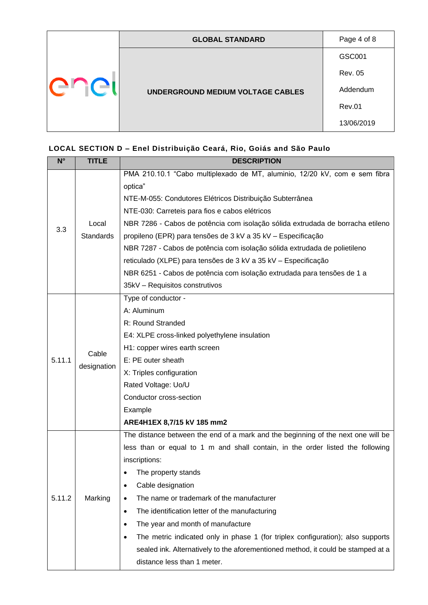| <b>ELIGI</b> | <b>GLOBAL STANDARD</b>            | Page 4 of 8    |
|--------------|-----------------------------------|----------------|
|              |                                   | GSC001         |
|              | UNDERGROUND MEDIUM VOLTAGE CABLES | <b>Rev. 05</b> |
|              |                                   | Addendum       |
|              |                                   | <b>Rev.01</b>  |
|              |                                   | 13/06/2019     |

<span id="page-3-0"></span>

| $N^{\circ}$ | <b>TITLE</b>         | <b>DESCRIPTION</b>                                                                           |  |  |
|-------------|----------------------|----------------------------------------------------------------------------------------------|--|--|
|             |                      | PMA 210.10.1 "Cabo multiplexado de MT, aluminio, 12/20 kV, com e sem fibra                   |  |  |
|             |                      | optica"                                                                                      |  |  |
|             |                      | NTE-M-055: Condutores Elétricos Distribuição Subterrânea                                     |  |  |
|             |                      | NTE-030: Carreteis para fios e cabos elétricos                                               |  |  |
| 3.3         | Local                | NBR 7286 - Cabos de potência com isolação sólida extrudada de borracha etileno               |  |  |
|             | <b>Standards</b>     | propileno (EPR) para tensões de 3 kV a 35 kV - Especificação                                 |  |  |
|             |                      | NBR 7287 - Cabos de potência com isolação sólida extrudada de polietileno                    |  |  |
|             |                      | reticulado (XLPE) para tensões de 3 kV a 35 kV - Especificação                               |  |  |
|             |                      | NBR 6251 - Cabos de potência com isolação extrudada para tensões de 1 a                      |  |  |
|             |                      | 35kV - Requisitos construtivos                                                               |  |  |
|             |                      | Type of conductor -                                                                          |  |  |
|             |                      | A: Aluminum                                                                                  |  |  |
|             |                      | R: Round Stranded                                                                            |  |  |
|             | Cable<br>designation | E4: XLPE cross-linked polyethylene insulation                                                |  |  |
|             |                      | H1: copper wires earth screen                                                                |  |  |
| 5.11.1      |                      | E: PE outer sheath                                                                           |  |  |
|             |                      | X: Triples configuration                                                                     |  |  |
|             |                      | Rated Voltage: Uo/U                                                                          |  |  |
|             |                      | Conductor cross-section                                                                      |  |  |
|             |                      | Example                                                                                      |  |  |
|             |                      | ARE4H1EX 8,7/15 kV 185 mm2                                                                   |  |  |
|             |                      | The distance between the end of a mark and the beginning of the next one will be             |  |  |
|             |                      | less than or equal to 1 m and shall contain, in the order listed the following               |  |  |
|             |                      | inscriptions:                                                                                |  |  |
|             |                      | The property stands                                                                          |  |  |
|             |                      | Cable designation<br>$\bullet$                                                               |  |  |
| 5.11.2      | Marking              | The name or trademark of the manufacturer<br>٠                                               |  |  |
|             |                      | The identification letter of the manufacturing<br>$\bullet$                                  |  |  |
|             |                      | The year and month of manufacture<br>٠                                                       |  |  |
|             |                      | The metric indicated only in phase 1 (for triplex configuration); also supports<br>$\bullet$ |  |  |
|             |                      | sealed ink. Alternatively to the aforementioned method, it could be stamped at a             |  |  |
|             |                      | distance less than 1 meter.                                                                  |  |  |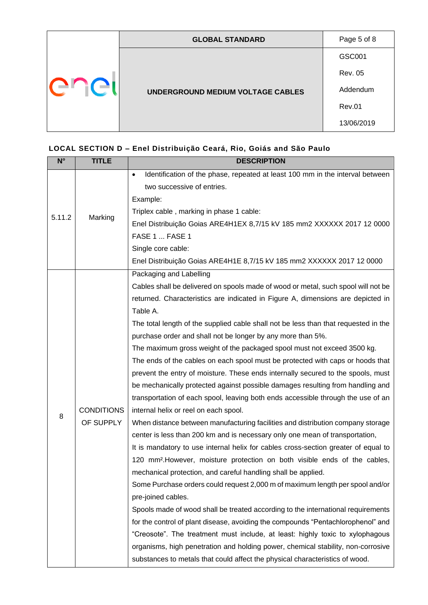|        | <b>GLOBAL STANDARD</b>            | Page 5 of 8    |
|--------|-----------------------------------|----------------|
| FI JGI |                                   | GSC001         |
|        | UNDERGROUND MEDIUM VOLTAGE CABLES | <b>Rev. 05</b> |
|        |                                   | Addendum       |
|        |                                   | <b>Rev.01</b>  |
|        |                                   | 13/06/2019     |

| $N^{\circ}$ | <b>TITLE</b>      | <b>DESCRIPTION</b>                                                                         |
|-------------|-------------------|--------------------------------------------------------------------------------------------|
|             |                   | Identification of the phase, repeated at least 100 mm in the interval between<br>$\bullet$ |
|             |                   | two successive of entries.                                                                 |
|             |                   | Example:                                                                                   |
| 5.11.2      | Marking           | Triplex cable, marking in phase 1 cable:                                                   |
|             |                   | Enel Distribuição Goias ARE4H1EX 8,7/15 kV 185 mm2 XXXXXX 2017 12 0000                     |
|             |                   | FASE 1  FASE 1                                                                             |
|             |                   | Single core cable:                                                                         |
|             |                   | Enel Distribuição Goias ARE4H1E 8,7/15 kV 185 mm2 XXXXXX 2017 12 0000                      |
|             |                   | Packaging and Labelling                                                                    |
|             |                   | Cables shall be delivered on spools made of wood or metal, such spool will not be          |
|             |                   | returned. Characteristics are indicated in Figure A, dimensions are depicted in            |
|             |                   | Table A.                                                                                   |
|             |                   | The total length of the supplied cable shall not be less than that requested in the        |
|             |                   | purchase order and shall not be longer by any more than 5%.                                |
|             |                   | The maximum gross weight of the packaged spool must not exceed 3500 kg.                    |
|             |                   | The ends of the cables on each spool must be protected with caps or hoods that             |
|             |                   | prevent the entry of moisture. These ends internally secured to the spools, must           |
|             |                   | be mechanically protected against possible damages resulting from handling and             |
|             |                   | transportation of each spool, leaving both ends accessible through the use of an           |
| 8           | <b>CONDITIONS</b> | internal helix or reel on each spool.                                                      |
|             | OF SUPPLY         | When distance between manufacturing facilities and distribution company storage            |
|             |                   | center is less than 200 km and is necessary only one mean of transportation,               |
|             |                   | It is mandatory to use internal helix for cables cross-section greater of equal to         |
|             |                   | 120 mm <sup>2</sup> . However, moisture protection on both visible ends of the cables,     |
|             |                   | mechanical protection, and careful handling shall be applied.                              |
|             |                   | Some Purchase orders could request 2,000 m of maximum length per spool and/or              |
|             |                   | pre-joined cables.                                                                         |
|             |                   | Spools made of wood shall be treated according to the international requirements           |
|             |                   | for the control of plant disease, avoiding the compounds "Pentachlorophenol" and           |
|             |                   | "Creosote". The treatment must include, at least: highly toxic to xylophagous              |
|             |                   | organisms, high penetration and holding power, chemical stability, non-corrosive           |
|             |                   | substances to metals that could affect the physical characteristics of wood.               |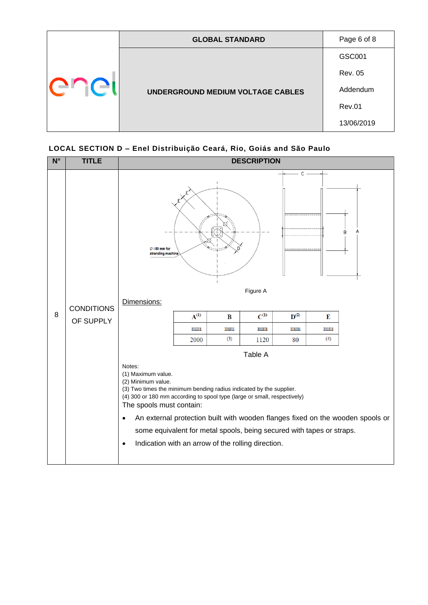|     | <b>GLOBAL STANDARD</b>            | Page 6 of 8    |
|-----|-----------------------------------|----------------|
| i C |                                   | GSC001         |
|     |                                   | <b>Rev. 05</b> |
|     | UNDERGROUND MEDIUM VOLTAGE CABLES | Addendum       |
|     |                                   | <b>Rev.01</b>  |
|     |                                   | 13/06/2019     |

| $N^{\circ}$ | <b>TITLE</b>      | <b>DESCRIPTION</b>                                                                                                                                                                                                                                                                                                                                                                         |           |     |           |                    |     |                                                                                |  |  |  |  |  |  |
|-------------|-------------------|--------------------------------------------------------------------------------------------------------------------------------------------------------------------------------------------------------------------------------------------------------------------------------------------------------------------------------------------------------------------------------------------|-----------|-----|-----------|--------------------|-----|--------------------------------------------------------------------------------|--|--|--|--|--|--|
|             |                   | $\varnothing$ =50 mm for<br>stranding machine                                                                                                                                                                                                                                                                                                                                              |           | F   |           |                    |     |                                                                                |  |  |  |  |  |  |
|             | <b>CONDITIONS</b> | Dimensions:                                                                                                                                                                                                                                                                                                                                                                                |           |     |           |                    |     |                                                                                |  |  |  |  |  |  |
| 8           | OF SUPPLY         |                                                                                                                                                                                                                                                                                                                                                                                            | $A^{(1)}$ | B   | $C^{(1)}$ | $\mathbf{D}^{(2)}$ | E   |                                                                                |  |  |  |  |  |  |
|             |                   |                                                                                                                                                                                                                                                                                                                                                                                            | mm        | mm  | mm        | mm                 | mm  |                                                                                |  |  |  |  |  |  |
|             |                   |                                                                                                                                                                                                                                                                                                                                                                                            | 2000      | (3) | 1120      | 80                 | (4) |                                                                                |  |  |  |  |  |  |
|             |                   |                                                                                                                                                                                                                                                                                                                                                                                            |           |     | Table A   |                    |     |                                                                                |  |  |  |  |  |  |
|             |                   | Notes:<br>(1) Maximum value.<br>(2) Minimum value.<br>(3) Two times the minimum bending radius indicated by the supplier.<br>(4) 300 or 180 mm according to spool type (large or small, respectively)<br>The spools must contain:<br>$\bullet$<br>some equivalent for metal spools, being secured with tapes or straps.<br>Indication with an arrow of the rolling direction.<br>$\bullet$ |           |     |           |                    |     | An external protection built with wooden flanges fixed on the wooden spools or |  |  |  |  |  |  |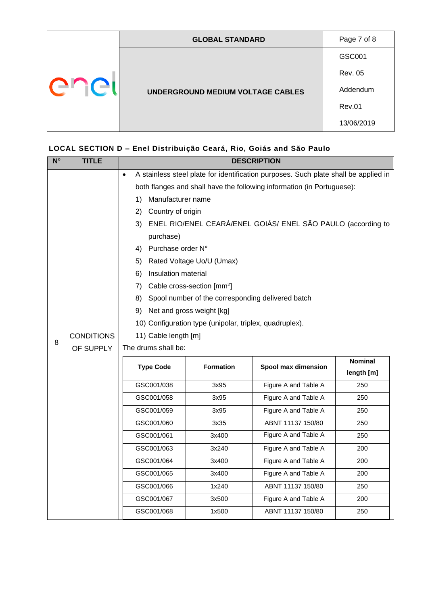| <b>ELIGI</b> | <b>GLOBAL STANDARD</b>            | Page 7 of 8    |
|--------------|-----------------------------------|----------------|
|              |                                   | GSC001         |
|              |                                   | <b>Rev. 05</b> |
|              | UNDERGROUND MEDIUM VOLTAGE CABLES | Addendum       |
|              |                                   | <b>Rev.01</b>  |
|              |                                   | 13/06/2019     |

| $N^{\circ}$ | <b>TITLE</b>      | <b>DESCRIPTION</b>   |                                                              |                                                                                     |            |  |  |  |  |  |  |  |  |  |
|-------------|-------------------|----------------------|--------------------------------------------------------------|-------------------------------------------------------------------------------------|------------|--|--|--|--|--|--|--|--|--|
|             |                   | $\bullet$            |                                                              | A stainless steel plate for identification purposes. Such plate shall be applied in |            |  |  |  |  |  |  |  |  |  |
|             |                   |                      |                                                              | both flanges and shall have the following information (in Portuguese):              |            |  |  |  |  |  |  |  |  |  |
|             |                   | 1)                   | Manufacturer name                                            |                                                                                     |            |  |  |  |  |  |  |  |  |  |
|             |                   | 2)                   | Country of origin                                            |                                                                                     |            |  |  |  |  |  |  |  |  |  |
|             |                   | 3)                   | ENEL RIO/ENEL CEARÁ/ENEL GOIÁS/ ENEL SÃO PAULO (according to |                                                                                     |            |  |  |  |  |  |  |  |  |  |
|             |                   | purchase)            |                                                              |                                                                                     |            |  |  |  |  |  |  |  |  |  |
|             |                   | 4) Purchase order N° |                                                              |                                                                                     |            |  |  |  |  |  |  |  |  |  |
|             |                   | 5)                   | Rated Voltage Uo/U (Umax)                                    |                                                                                     |            |  |  |  |  |  |  |  |  |  |
|             |                   | 6)                   | Insulation material                                          |                                                                                     |            |  |  |  |  |  |  |  |  |  |
|             |                   | 7)                   | Cable cross-section [mm <sup>2</sup> ]                       |                                                                                     |            |  |  |  |  |  |  |  |  |  |
|             |                   | 8)                   | Spool number of the corresponding delivered batch            |                                                                                     |            |  |  |  |  |  |  |  |  |  |
|             |                   | 9)                   | Net and gross weight [kg]                                    |                                                                                     |            |  |  |  |  |  |  |  |  |  |
|             |                   |                      | 10) Configuration type (unipolar, triplex, quadruplex).      |                                                                                     |            |  |  |  |  |  |  |  |  |  |
|             | <b>CONDITIONS</b> | 11) Cable length [m] |                                                              |                                                                                     |            |  |  |  |  |  |  |  |  |  |
| 8           | OF SUPPLY         | The drums shall be:  |                                                              |                                                                                     |            |  |  |  |  |  |  |  |  |  |
|             | <b>Nominal</b>    |                      |                                                              |                                                                                     |            |  |  |  |  |  |  |  |  |  |
|             |                   | <b>Type Code</b>     | <b>Formation</b>                                             | Spool max dimension                                                                 | length [m] |  |  |  |  |  |  |  |  |  |
|             |                   | GSC001/038           | 3x95                                                         | Figure A and Table A                                                                | 250        |  |  |  |  |  |  |  |  |  |
|             |                   | GSC001/058           | 3x95                                                         | Figure A and Table A                                                                | 250        |  |  |  |  |  |  |  |  |  |
|             |                   | GSC001/059           | 3x95                                                         | Figure A and Table A                                                                | 250        |  |  |  |  |  |  |  |  |  |
|             |                   | GSC001/060           | 3x35                                                         | ABNT 11137 150/80                                                                   | 250        |  |  |  |  |  |  |  |  |  |
|             |                   | GSC001/061           | 3x400                                                        | Figure A and Table A                                                                | 250        |  |  |  |  |  |  |  |  |  |
|             |                   | GSC001/063           | 3x240                                                        | Figure A and Table A                                                                | 200        |  |  |  |  |  |  |  |  |  |
|             |                   | GSC001/064           | 3x400                                                        | Figure A and Table A                                                                | 200        |  |  |  |  |  |  |  |  |  |
|             |                   | GSC001/065           | 3x400                                                        | Figure A and Table A                                                                | 200        |  |  |  |  |  |  |  |  |  |
|             |                   | GSC001/066           | 1x240                                                        | ABNT 11137 150/80                                                                   | 250        |  |  |  |  |  |  |  |  |  |
|             |                   | GSC001/067           | 3x500                                                        | Figure A and Table A                                                                | 200        |  |  |  |  |  |  |  |  |  |
|             |                   | GSC001/068           | 1x500                                                        | ABNT 11137 150/80                                                                   | 250        |  |  |  |  |  |  |  |  |  |